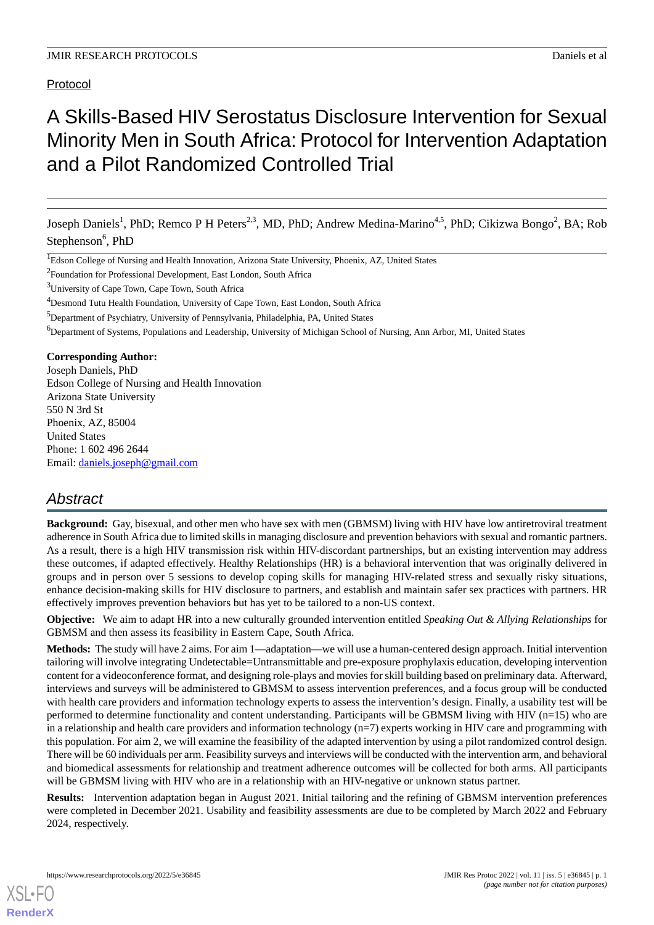## Protocol

# A Skills-Based HIV Serostatus Disclosure Intervention for Sexual Minority Men in South Africa: Protocol for Intervention Adaptation and a Pilot Randomized Controlled Trial

Joseph Daniels<sup>1</sup>, PhD; Remco P H Peters<sup>2,3</sup>, MD, PhD; Andrew Medina-Marino<sup>4,5</sup>, PhD; Cikizwa Bongo<sup>2</sup>, BA; Rob Stephenson<sup>6</sup>, PhD

<sup>2</sup> Foundation for Professional Development, East London, South Africa

<sup>3</sup>University of Cape Town, Cape Town, South Africa

<sup>4</sup>Desmond Tutu Health Foundation, University of Cape Town, East London, South Africa

<sup>5</sup>Department of Psychiatry, University of Pennsylvania, Philadelphia, PA, United States

<sup>6</sup>Department of Systems, Populations and Leadership, University of Michigan School of Nursing, Ann Arbor, MI, United States

## **Corresponding Author:**

Joseph Daniels, PhD Edson College of Nursing and Health Innovation Arizona State University 550 N 3rd St Phoenix, AZ, 85004 United States Phone: 1 602 496 2644 Email: [daniels.joseph@gmail.com](mailto:daniels.joseph@gmail.com)

## *Abstract*

**Background:** Gay, bisexual, and other men who have sex with men (GBMSM) living with HIV have low antiretroviral treatment adherence in South Africa due to limited skills in managing disclosure and prevention behaviors with sexual and romantic partners. As a result, there is a high HIV transmission risk within HIV-discordant partnerships, but an existing intervention may address these outcomes, if adapted effectively. Healthy Relationships (HR) is a behavioral intervention that was originally delivered in groups and in person over 5 sessions to develop coping skills for managing HIV-related stress and sexually risky situations, enhance decision-making skills for HIV disclosure to partners, and establish and maintain safer sex practices with partners. HR effectively improves prevention behaviors but has yet to be tailored to a non-US context.

**Objective:** We aim to adapt HR into a new culturally grounded intervention entitled *Speaking Out & Allying Relationships* for GBMSM and then assess its feasibility in Eastern Cape, South Africa.

**Methods:** The study will have 2 aims. For aim 1—adaptation—we will use a human-centered design approach. Initial intervention tailoring will involve integrating Undetectable=Untransmittable and pre-exposure prophylaxis education, developing intervention content for a videoconference format, and designing role-plays and movies for skill building based on preliminary data. Afterward, interviews and surveys will be administered to GBMSM to assess intervention preferences, and a focus group will be conducted with health care providers and information technology experts to assess the intervention's design. Finally, a usability test will be performed to determine functionality and content understanding. Participants will be GBMSM living with HIV (n=15) who are in a relationship and health care providers and information technology (n=7) experts working in HIV care and programming with this population. For aim 2, we will examine the feasibility of the adapted intervention by using a pilot randomized control design. There will be 60 individuals per arm. Feasibility surveys and interviews will be conducted with the intervention arm, and behavioral and biomedical assessments for relationship and treatment adherence outcomes will be collected for both arms. All participants will be GBMSM living with HIV who are in a relationship with an HIV-negative or unknown status partner.

**Results:** Intervention adaptation began in August 2021. Initial tailoring and the refining of GBMSM intervention preferences were completed in December 2021. Usability and feasibility assessments are due to be completed by March 2022 and February 2024, respectively.

<sup>&</sup>lt;sup>1</sup>Edson College of Nursing and Health Innovation, Arizona State University, Phoenix, AZ, United States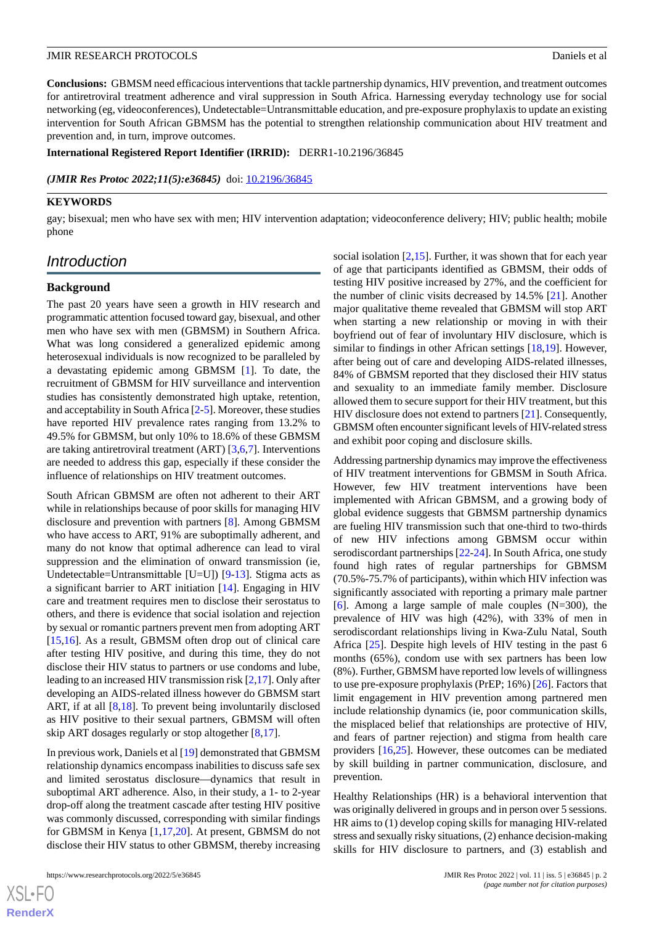**Conclusions:** GBMSM need efficacious interventions that tackle partnership dynamics, HIV prevention, and treatment outcomes for antiretroviral treatment adherence and viral suppression in South Africa. Harnessing everyday technology use for social networking (eg, videoconferences), Undetectable=Untransmittable education, and pre-exposure prophylaxis to update an existing intervention for South African GBMSM has the potential to strengthen relationship communication about HIV treatment and prevention and, in turn, improve outcomes.

**International Registered Report Identifier (IRRID):** DERR1-10.2196/36845

*(JMIR Res Protoc 2022;11(5):e36845)* doi: [10.2196/36845](http://dx.doi.org/10.2196/36845)

## **KEYWORDS**

gay; bisexual; men who have sex with men; HIV intervention adaptation; videoconference delivery; HIV; public health; mobile phone

## *Introduction*

## **Background**

The past 20 years have seen a growth in HIV research and programmatic attention focused toward gay, bisexual, and other men who have sex with men (GBMSM) in Southern Africa. What was long considered a generalized epidemic among heterosexual individuals is now recognized to be paralleled by a devastating epidemic among GBMSM [\[1](#page-6-0)]. To date, the recruitment of GBMSM for HIV surveillance and intervention studies has consistently demonstrated high uptake, retention, and acceptability in South Africa [\[2](#page-6-1)-[5\]](#page-7-0). Moreover, these studies have reported HIV prevalence rates ranging from 13.2% to 49.5% for GBMSM, but only 10% to 18.6% of these GBMSM are taking antiretroviral treatment (ART) [[3](#page-7-1)[,6](#page-7-2),[7\]](#page-7-3). Interventions are needed to address this gap, especially if these consider the influence of relationships on HIV treatment outcomes.

South African GBMSM are often not adherent to their ART while in relationships because of poor skills for managing HIV disclosure and prevention with partners [[8\]](#page-7-4). Among GBMSM who have access to ART, 91% are suboptimally adherent, and many do not know that optimal adherence can lead to viral suppression and the elimination of onward transmission (ie, Undetectable=Untransmittable [U=U]) [\[9](#page-7-5)-[13\]](#page-7-6). Stigma acts as a significant barrier to ART initiation [\[14](#page-7-7)]. Engaging in HIV care and treatment requires men to disclose their serostatus to others, and there is evidence that social isolation and rejection by sexual or romantic partners prevent men from adopting ART [[15](#page-7-8)[,16](#page-7-9)]. As a result, GBMSM often drop out of clinical care after testing HIV positive, and during this time, they do not disclose their HIV status to partners or use condoms and lube, leading to an increased HIV transmission risk [\[2](#page-6-1),[17\]](#page-7-10). Only after developing an AIDS-related illness however do GBMSM start ART, if at all [[8,](#page-7-4)[18](#page-7-11)]. To prevent being involuntarily disclosed as HIV positive to their sexual partners, GBMSM will often skip ART dosages regularly or stop altogether [\[8](#page-7-4),[17\]](#page-7-10).

In previous work, Daniels et al [\[19](#page-7-12)] demonstrated that GBMSM relationship dynamics encompass inabilities to discuss safe sex and limited serostatus disclosure—dynamics that result in suboptimal ART adherence. Also, in their study, a 1- to 2-year drop-off along the treatment cascade after testing HIV positive was commonly discussed, corresponding with similar findings for GBMSM in Kenya [[1](#page-6-0)[,17](#page-7-10),[20\]](#page-7-13). At present, GBMSM do not disclose their HIV status to other GBMSM, thereby increasing

https://www.researchprotocols.org/2022/5/e36845 JMIR Res Protoc 2022 | vol. 11 | iss. 5 | e36845 | p. 2

social isolation  $[2,15]$  $[2,15]$  $[2,15]$  $[2,15]$ . Further, it was shown that for each year of age that participants identified as GBMSM, their odds of testing HIV positive increased by 27%, and the coefficient for the number of clinic visits decreased by 14.5% [\[21](#page-7-14)]. Another major qualitative theme revealed that GBMSM will stop ART when starting a new relationship or moving in with their boyfriend out of fear of involuntary HIV disclosure, which is similar to findings in other African settings [[18,](#page-7-11)[19](#page-7-12)]. However, after being out of care and developing AIDS-related illnesses, 84% of GBMSM reported that they disclosed their HIV status and sexuality to an immediate family member. Disclosure allowed them to secure support for their HIV treatment, but this HIV disclosure does not extend to partners [[21\]](#page-7-14). Consequently, GBMSM often encounter significant levels of HIV-related stress and exhibit poor coping and disclosure skills.

Addressing partnership dynamics may improve the effectiveness of HIV treatment interventions for GBMSM in South Africa. However, few HIV treatment interventions have been implemented with African GBMSM, and a growing body of global evidence suggests that GBMSM partnership dynamics are fueling HIV transmission such that one-third to two-thirds of new HIV infections among GBMSM occur within serodiscordant partnerships [\[22](#page-8-0)[-24](#page-8-1)]. In South Africa, one study found high rates of regular partnerships for GBMSM (70.5%-75.7% of participants), within which HIV infection was significantly associated with reporting a primary male partner [[6\]](#page-7-2). Among a large sample of male couples  $(N=300)$ , the prevalence of HIV was high (42%), with 33% of men in serodiscordant relationships living in Kwa-Zulu Natal, South Africa [\[25](#page-8-2)]. Despite high levels of HIV testing in the past 6 months (65%), condom use with sex partners has been low (8%). Further, GBMSM have reported low levels of willingness to use pre-exposure prophylaxis (PrEP; 16%) [\[26](#page-8-3)]. Factors that limit engagement in HIV prevention among partnered men include relationship dynamics (ie, poor communication skills, the misplaced belief that relationships are protective of HIV, and fears of partner rejection) and stigma from health care providers [[16](#page-7-9)[,25](#page-8-2)]. However, these outcomes can be mediated by skill building in partner communication, disclosure, and prevention.

Healthy Relationships (HR) is a behavioral intervention that was originally delivered in groups and in person over 5 sessions. HR aims to (1) develop coping skills for managing HIV-related stress and sexually risky situations, (2) enhance decision-making skills for HIV disclosure to partners, and (3) establish and

 $XS$  • FO **[RenderX](http://www.renderx.com/)**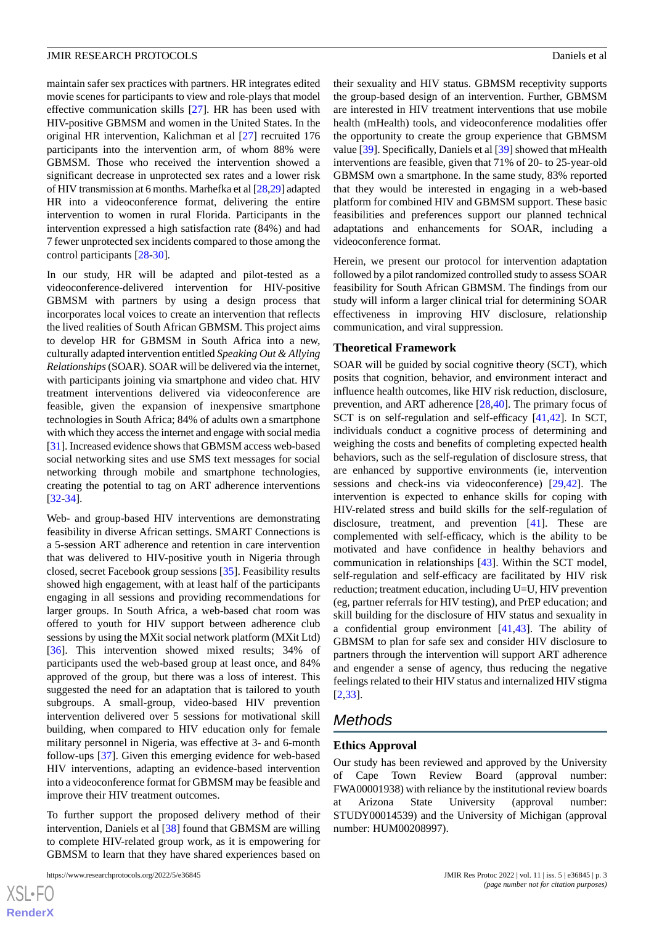maintain safer sex practices with partners. HR integrates edited movie scenes for participants to view and role-plays that model effective communication skills [[27\]](#page-8-4). HR has been used with HIV-positive GBMSM and women in the United States. In the original HR intervention, Kalichman et al [[27\]](#page-8-4) recruited 176 participants into the intervention arm, of whom 88% were GBMSM. Those who received the intervention showed a significant decrease in unprotected sex rates and a lower risk of HIV transmission at 6 months. Marhefka et al [[28,](#page-8-5)[29\]](#page-8-6) adapted HR into a videoconference format, delivering the entire intervention to women in rural Florida. Participants in the intervention expressed a high satisfaction rate (84%) and had 7 fewer unprotected sex incidents compared to those among the control participants [[28](#page-8-5)[-30](#page-8-7)].

In our study, HR will be adapted and pilot-tested as a videoconference-delivered intervention for HIV-positive GBMSM with partners by using a design process that incorporates local voices to create an intervention that reflects the lived realities of South African GBMSM. This project aims to develop HR for GBMSM in South Africa into a new, culturally adapted intervention entitled *Speaking Out & Allying Relationships*(SOAR). SOAR will be delivered via the internet, with participants joining via smartphone and video chat. HIV treatment interventions delivered via videoconference are feasible, given the expansion of inexpensive smartphone technologies in South Africa; 84% of adults own a smartphone with which they access the internet and engage with social media [[31\]](#page-8-8). Increased evidence shows that GBMSM access web-based social networking sites and use SMS text messages for social networking through mobile and smartphone technologies, creating the potential to tag on ART adherence interventions [[32](#page-8-9)[-34](#page-8-10)].

Web- and group-based HIV interventions are demonstrating feasibility in diverse African settings. SMART Connections is a 5-session ART adherence and retention in care intervention that was delivered to HIV-positive youth in Nigeria through closed, secret Facebook group sessions [\[35](#page-8-11)]. Feasibility results showed high engagement, with at least half of the participants engaging in all sessions and providing recommendations for larger groups. In South Africa, a web-based chat room was offered to youth for HIV support between adherence club sessions by using the MXit social network platform (MXit Ltd) [[36\]](#page-8-12). This intervention showed mixed results; 34% of participants used the web-based group at least once, and 84% approved of the group, but there was a loss of interest. This suggested the need for an adaptation that is tailored to youth subgroups. A small-group, video-based HIV prevention intervention delivered over 5 sessions for motivational skill building, when compared to HIV education only for female military personnel in Nigeria, was effective at 3- and 6-month follow-ups [[37\]](#page-8-13). Given this emerging evidence for web-based HIV interventions, adapting an evidence-based intervention into a videoconference format for GBMSM may be feasible and improve their HIV treatment outcomes.

To further support the proposed delivery method of their intervention, Daniels et al [[38\]](#page-8-14) found that GBMSM are willing to complete HIV-related group work, as it is empowering for GBMSM to learn that they have shared experiences based on

their sexuality and HIV status. GBMSM receptivity supports the group-based design of an intervention. Further, GBMSM are interested in HIV treatment interventions that use mobile health (mHealth) tools, and videoconference modalities offer the opportunity to create the group experience that GBMSM value [\[39](#page-8-15)]. Specifically, Daniels et al [[39\]](#page-8-15) showed that mHealth interventions are feasible, given that 71% of 20- to 25-year-old GBMSM own a smartphone. In the same study, 83% reported that they would be interested in engaging in a web-based platform for combined HIV and GBMSM support. These basic feasibilities and preferences support our planned technical adaptations and enhancements for SOAR, including a videoconference format.

Herein, we present our protocol for intervention adaptation followed by a pilot randomized controlled study to assess SOAR feasibility for South African GBMSM. The findings from our study will inform a larger clinical trial for determining SOAR effectiveness in improving HIV disclosure, relationship communication, and viral suppression.

#### **Theoretical Framework**

SOAR will be guided by social cognitive theory (SCT), which posits that cognition, behavior, and environment interact and influence health outcomes, like HIV risk reduction, disclosure, prevention, and ART adherence [[28,](#page-8-5)[40](#page-8-16)]. The primary focus of SCT is on self-regulation and self-efficacy [[41](#page-9-0)[,42](#page-9-1)]. In SCT, individuals conduct a cognitive process of determining and weighing the costs and benefits of completing expected health behaviors, such as the self-regulation of disclosure stress, that are enhanced by supportive environments (ie, intervention sessions and check-ins via videoconference) [\[29](#page-8-6),[42\]](#page-9-1). The intervention is expected to enhance skills for coping with HIV-related stress and build skills for the self-regulation of disclosure, treatment, and prevention [[41\]](#page-9-0). These are complemented with self-efficacy, which is the ability to be motivated and have confidence in healthy behaviors and communication in relationships [\[43](#page-9-2)]. Within the SCT model, self-regulation and self-efficacy are facilitated by HIV risk reduction; treatment education, including U=U, HIV prevention (eg, partner referrals for HIV testing), and PrEP education; and skill building for the disclosure of HIV status and sexuality in a confidential group environment [[41](#page-9-0)[,43](#page-9-2)]. The ability of GBMSM to plan for safe sex and consider HIV disclosure to partners through the intervention will support ART adherence and engender a sense of agency, thus reducing the negative feelings related to their HIV status and internalized HIV stigma [[2](#page-6-1)[,33](#page-8-17)].

## *Methods*

#### **Ethics Approval**

Our study has been reviewed and approved by the University of Cape Town Review Board (approval number: FWA00001938) with reliance by the institutional review boards at Arizona State University (approval number: STUDY00014539) and the University of Michigan (approval number: HUM00208997).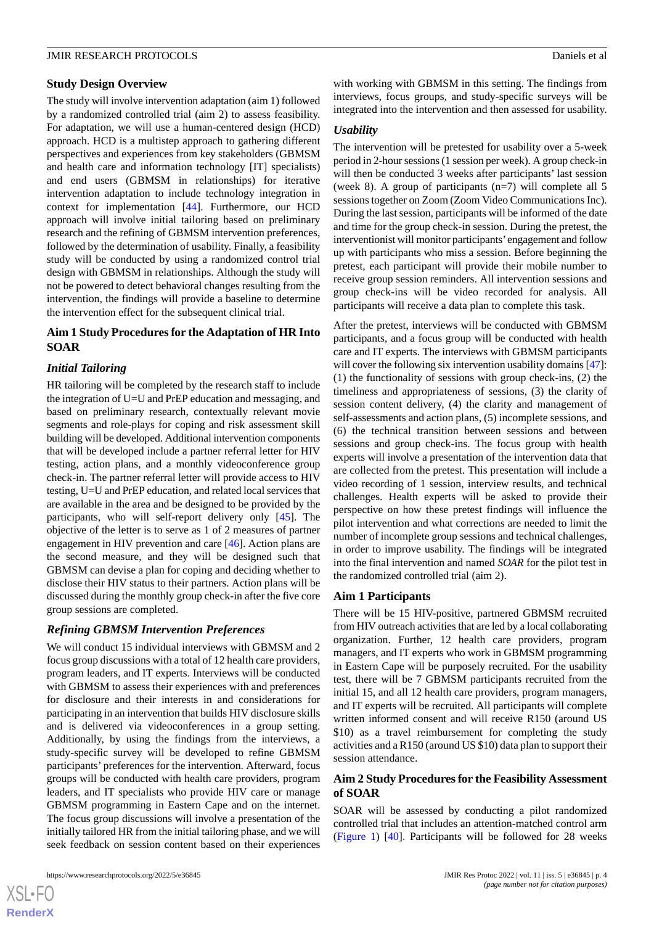## **Study Design Overview**

The study will involve intervention adaptation (aim 1) followed by a randomized controlled trial (aim 2) to assess feasibility. For adaptation, we will use a human-centered design (HCD) approach. HCD is a multistep approach to gathering different perspectives and experiences from key stakeholders (GBMSM and health care and information technology [IT] specialists) and end users (GBMSM in relationships) for iterative intervention adaptation to include technology integration in context for implementation [\[44](#page-9-3)]. Furthermore, our HCD approach will involve initial tailoring based on preliminary research and the refining of GBMSM intervention preferences, followed by the determination of usability. Finally, a feasibility study will be conducted by using a randomized control trial design with GBMSM in relationships. Although the study will not be powered to detect behavioral changes resulting from the intervention, the findings will provide a baseline to determine the intervention effect for the subsequent clinical trial.

## **Aim 1 Study Procedures for the Adaptation of HR Into SOAR**

## *Initial Tailoring*

HR tailoring will be completed by the research staff to include the integration of U=U and PrEP education and messaging, and based on preliminary research, contextually relevant movie segments and role-plays for coping and risk assessment skill building will be developed. Additional intervention components that will be developed include a partner referral letter for HIV testing, action plans, and a monthly videoconference group check-in. The partner referral letter will provide access to HIV testing, U=U and PrEP education, and related local services that are available in the area and be designed to be provided by the participants, who will self-report delivery only [\[45](#page-9-4)]. The objective of the letter is to serve as 1 of 2 measures of partner engagement in HIV prevention and care [[46\]](#page-9-5). Action plans are the second measure, and they will be designed such that GBMSM can devise a plan for coping and deciding whether to disclose their HIV status to their partners. Action plans will be discussed during the monthly group check-in after the five core group sessions are completed.

## *Refining GBMSM Intervention Preferences*

We will conduct 15 individual interviews with GBMSM and 2 focus group discussions with a total of 12 health care providers, program leaders, and IT experts. Interviews will be conducted with GBMSM to assess their experiences with and preferences for disclosure and their interests in and considerations for participating in an intervention that builds HIV disclosure skills and is delivered via videoconferences in a group setting. Additionally, by using the findings from the interviews, a study-specific survey will be developed to refine GBMSM participants' preferences for the intervention. Afterward, focus groups will be conducted with health care providers, program leaders, and IT specialists who provide HIV care or manage GBMSM programming in Eastern Cape and on the internet. The focus group discussions will involve a presentation of the initially tailored HR from the initial tailoring phase, and we will seek feedback on session content based on their experiences

 $XS$ -FO **[RenderX](http://www.renderx.com/)** with working with GBMSM in this setting. The findings from interviews, focus groups, and study-specific surveys will be integrated into the intervention and then assessed for usability.

#### *Usability*

The intervention will be pretested for usability over a 5-week period in 2-hour sessions (1 session per week). A group check-in will then be conducted 3 weeks after participants' last session (week 8). A group of participants (n=7) will complete all 5 sessions together on Zoom (Zoom Video Communications Inc). During the last session, participants will be informed of the date and time for the group check-in session. During the pretest, the interventionist will monitor participants'engagement and follow up with participants who miss a session. Before beginning the pretest, each participant will provide their mobile number to receive group session reminders. All intervention sessions and group check-ins will be video recorded for analysis. All participants will receive a data plan to complete this task.

After the pretest, interviews will be conducted with GBMSM participants, and a focus group will be conducted with health care and IT experts. The interviews with GBMSM participants will cover the following six intervention usability domains [[47\]](#page-9-6): (1) the functionality of sessions with group check-ins, (2) the timeliness and appropriateness of sessions, (3) the clarity of session content delivery, (4) the clarity and management of self-assessments and action plans, (5) incomplete sessions, and (6) the technical transition between sessions and between sessions and group check-ins. The focus group with health experts will involve a presentation of the intervention data that are collected from the pretest. This presentation will include a video recording of 1 session, interview results, and technical challenges. Health experts will be asked to provide their perspective on how these pretest findings will influence the pilot intervention and what corrections are needed to limit the number of incomplete group sessions and technical challenges, in order to improve usability. The findings will be integrated into the final intervention and named *SOAR* for the pilot test in the randomized controlled trial (aim 2).

## **Aim 1 Participants**

There will be 15 HIV-positive, partnered GBMSM recruited from HIV outreach activities that are led by a local collaborating organization. Further, 12 health care providers, program managers, and IT experts who work in GBMSM programming in Eastern Cape will be purposely recruited. For the usability test, there will be 7 GBMSM participants recruited from the initial 15, and all 12 health care providers, program managers, and IT experts will be recruited. All participants will complete written informed consent and will receive R150 (around US \$10) as a travel reimbursement for completing the study activities and a R150 (around US \$10) data plan to support their session attendance.

## **Aim 2 Study Procedures for the Feasibility Assessment of SOAR**

SOAR will be assessed by conducting a pilot randomized controlled trial that includes an attention-matched control arm ([Figure 1](#page-4-0)) [\[40](#page-8-16)]. Participants will be followed for 28 weeks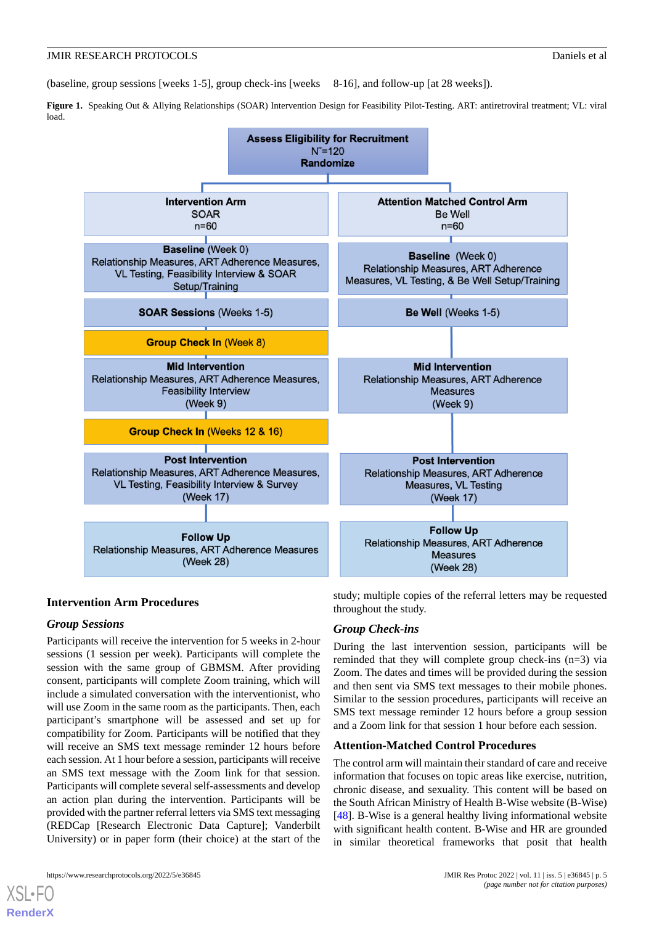(baseline, group sessions [weeks 1-5], group check-ins [weeks 8-16], and follow-up [at 28 weeks]).

<span id="page-4-0"></span>**Figure 1.** Speaking Out & Allying Relationships (SOAR) Intervention Design for Feasibility Pilot-Testing. ART: antiretroviral treatment; VL: viral load.



## **Intervention Arm Procedures**

## *Group Sessions*

Participants will receive the intervention for 5 weeks in 2-hour sessions (1 session per week). Participants will complete the session with the same group of GBMSM. After providing consent, participants will complete Zoom training, which will include a simulated conversation with the interventionist, who will use Zoom in the same room as the participants. Then, each participant's smartphone will be assessed and set up for compatibility for Zoom. Participants will be notified that they will receive an SMS text message reminder 12 hours before each session. At 1 hour before a session, participants will receive an SMS text message with the Zoom link for that session. Participants will complete several self-assessments and develop an action plan during the intervention. Participants will be provided with the partner referral letters via SMS text messaging (REDCap [Research Electronic Data Capture]; Vanderbilt University) or in paper form (their choice) at the start of the

https://www.researchprotocols.org/2022/5/e36845 JMIR Res Protoc 2022 | vol. 11 | iss. 5 | e36845 | p. 5

[XSL](http://www.w3.org/Style/XSL)•FO **[RenderX](http://www.renderx.com/)**

study; multiple copies of the referral letters may be requested throughout the study.

## *Group Check-ins*

During the last intervention session, participants will be reminded that they will complete group check-ins (n=3) via Zoom. The dates and times will be provided during the session and then sent via SMS text messages to their mobile phones. Similar to the session procedures, participants will receive an SMS text message reminder 12 hours before a group session and a Zoom link for that session 1 hour before each session.

## **Attention-Matched Control Procedures**

The control arm will maintain their standard of care and receive information that focuses on topic areas like exercise, nutrition, chronic disease, and sexuality. This content will be based on the South African Ministry of Health B-Wise website (B-Wise) [[48\]](#page-9-7). B-Wise is a general healthy living informational website with significant health content. B-Wise and HR are grounded in similar theoretical frameworks that posit that health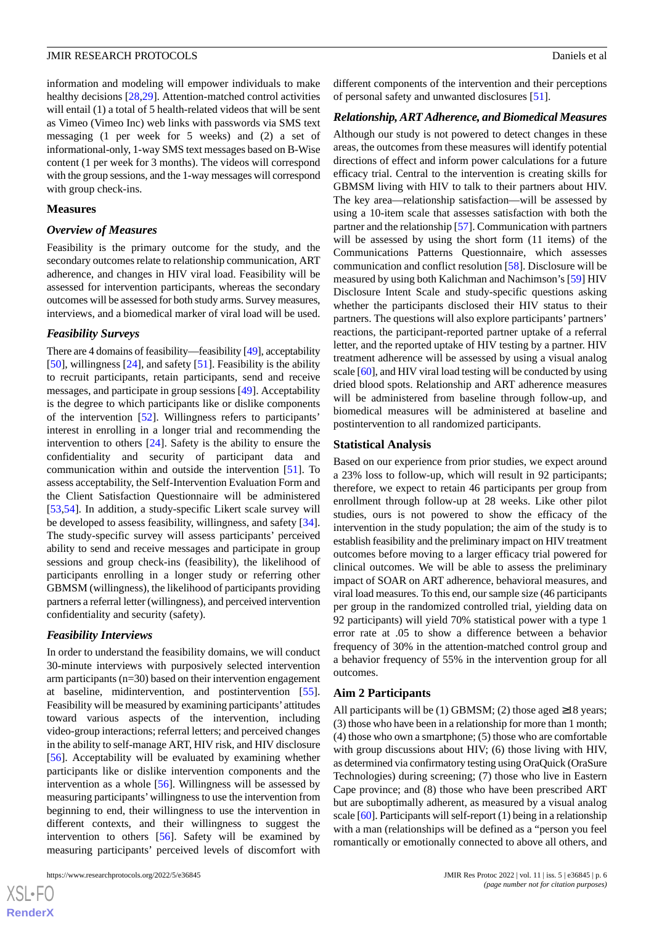information and modeling will empower individuals to make healthy decisions [\[28](#page-8-5),[29\]](#page-8-6). Attention-matched control activities will entail (1) a total of 5 health-related videos that will be sent as Vimeo (Vimeo Inc) web links with passwords via SMS text messaging (1 per week for 5 weeks) and (2) a set of informational-only, 1-way SMS text messages based on B-Wise content (1 per week for 3 months). The videos will correspond with the group sessions, and the 1-way messages will correspond with group check-ins.

#### **Measures**

#### *Overview of Measures*

Feasibility is the primary outcome for the study, and the secondary outcomes relate to relationship communication, ART adherence, and changes in HIV viral load. Feasibility will be assessed for intervention participants, whereas the secondary outcomes will be assessed for both study arms. Survey measures, interviews, and a biomedical marker of viral load will be used.

#### *Feasibility Surveys*

There are 4 domains of feasibility—feasibility [[49\]](#page-9-8), acceptability [[50\]](#page-9-9), willingness [\[24](#page-8-1)], and safety [[51\]](#page-9-10). Feasibility is the ability to recruit participants, retain participants, send and receive messages, and participate in group sessions [[49\]](#page-9-8). Acceptability is the degree to which participants like or dislike components of the intervention [[52\]](#page-9-11). Willingness refers to participants' interest in enrolling in a longer trial and recommending the intervention to others [\[24](#page-8-1)]. Safety is the ability to ensure the confidentiality and security of participant data and communication within and outside the intervention [[51\]](#page-9-10). To assess acceptability, the Self-Intervention Evaluation Form and the Client Satisfaction Questionnaire will be administered [[53](#page-9-12)[,54](#page-9-13)]. In addition, a study-specific Likert scale survey will be developed to assess feasibility, willingness, and safety [[34\]](#page-8-10). The study-specific survey will assess participants' perceived ability to send and receive messages and participate in group sessions and group check-ins (feasibility), the likelihood of participants enrolling in a longer study or referring other GBMSM (willingness), the likelihood of participants providing partners a referral letter (willingness), and perceived intervention confidentiality and security (safety).

#### *Feasibility Interviews*

In order to understand the feasibility domains, we will conduct 30-minute interviews with purposively selected intervention arm participants (n=30) based on their intervention engagement at baseline, midintervention, and postintervention [[55\]](#page-9-14). Feasibility will be measured by examining participants'attitudes toward various aspects of the intervention, including video-group interactions; referral letters; and perceived changes in the ability to self-manage ART, HIV risk, and HIV disclosure [[56\]](#page-9-15). Acceptability will be evaluated by examining whether participants like or dislike intervention components and the intervention as a whole [[56\]](#page-9-15). Willingness will be assessed by measuring participants'willingness to use the intervention from beginning to end, their willingness to use the intervention in different contexts, and their willingness to suggest the intervention to others [\[56](#page-9-15)]. Safety will be examined by measuring participants' perceived levels of discomfort with

different components of the intervention and their perceptions of personal safety and unwanted disclosures [[51\]](#page-9-10).

#### *Relationship, ART Adherence, and Biomedical Measures*

Although our study is not powered to detect changes in these areas, the outcomes from these measures will identify potential directions of effect and inform power calculations for a future efficacy trial. Central to the intervention is creating skills for GBMSM living with HIV to talk to their partners about HIV. The key area—relationship satisfaction—will be assessed by using a 10-item scale that assesses satisfaction with both the partner and the relationship [[57\]](#page-9-16). Communication with partners will be assessed by using the short form  $(11$  items) of the Communications Patterns Questionnaire, which assesses communication and conflict resolution [[58\]](#page-9-17). Disclosure will be measured by using both Kalichman and Nachimson's [[59\]](#page-9-18) HIV Disclosure Intent Scale and study-specific questions asking whether the participants disclosed their HIV status to their partners. The questions will also explore participants' partners' reactions, the participant-reported partner uptake of a referral letter, and the reported uptake of HIV testing by a partner. HIV treatment adherence will be assessed by using a visual analog scale [\[60](#page-9-19)], and HIV viral load testing will be conducted by using dried blood spots. Relationship and ART adherence measures will be administered from baseline through follow-up, and biomedical measures will be administered at baseline and postintervention to all randomized participants.

#### **Statistical Analysis**

Based on our experience from prior studies, we expect around a 23% loss to follow-up, which will result in 92 participants; therefore, we expect to retain 46 participants per group from enrollment through follow-up at 28 weeks. Like other pilot studies, ours is not powered to show the efficacy of the intervention in the study population; the aim of the study is to establish feasibility and the preliminary impact on HIV treatment outcomes before moving to a larger efficacy trial powered for clinical outcomes. We will be able to assess the preliminary impact of SOAR on ART adherence, behavioral measures, and viral load measures. To this end, our sample size (46 participants per group in the randomized controlled trial, yielding data on 92 participants) will yield 70% statistical power with a type 1 error rate at .05 to show a difference between a behavior frequency of 30% in the attention-matched control group and a behavior frequency of 55% in the intervention group for all outcomes.

#### **Aim 2 Participants**

All participants will be (1) GBMSM; (2) those aged  $\geq$ 18 years; (3) those who have been in a relationship for more than 1 month; (4) those who own a smartphone; (5) those who are comfortable with group discussions about HIV; (6) those living with HIV, as determined via confirmatory testing using OraQuick (OraSure Technologies) during screening; (7) those who live in Eastern Cape province; and (8) those who have been prescribed ART but are suboptimally adherent, as measured by a visual analog scale [\[60](#page-9-19)]. Participants will self-report (1) being in a relationship with a man (relationships will be defined as a "person you feel romantically or emotionally connected to above all others, and

 $XS$ -FO **[RenderX](http://www.renderx.com/)**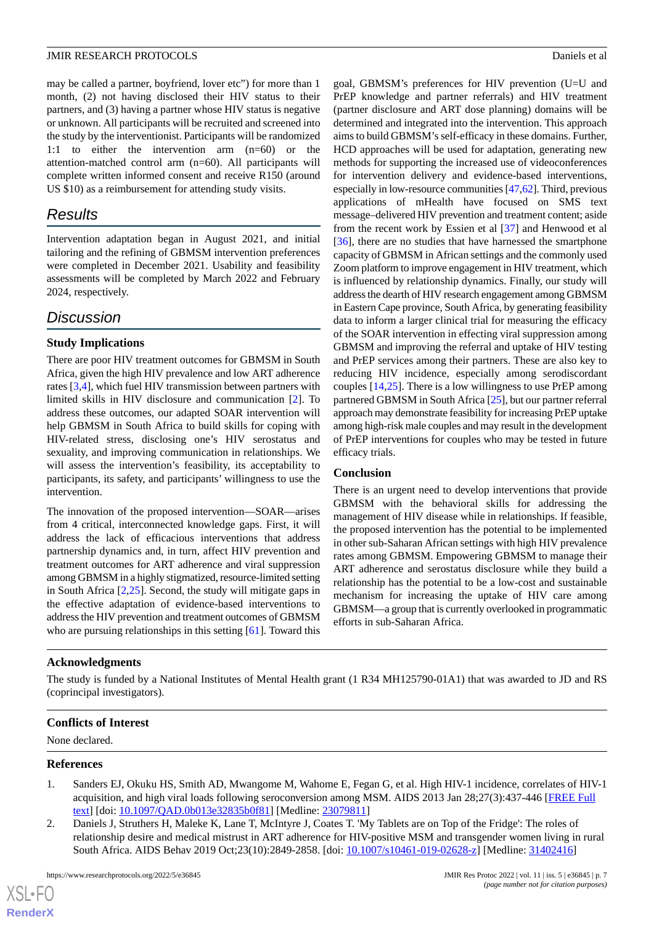may be called a partner, boyfriend, lover etc") for more than 1 month, (2) not having disclosed their HIV status to their partners, and (3) having a partner whose HIV status is negative or unknown. All participants will be recruited and screened into the study by the interventionist. Participants will be randomized 1:1 to either the intervention arm (n=60) or the attention-matched control arm (n=60). All participants will complete written informed consent and receive R150 (around US \$10) as a reimbursement for attending study visits.

## *Results*

Intervention adaptation began in August 2021, and initial tailoring and the refining of GBMSM intervention preferences were completed in December 2021. Usability and feasibility assessments will be completed by March 2022 and February 2024, respectively.

## *Discussion*

## **Study Implications**

There are poor HIV treatment outcomes for GBMSM in South Africa, given the high HIV prevalence and low ART adherence rates [[3](#page-7-1)[,4](#page-7-15)], which fuel HIV transmission between partners with limited skills in HIV disclosure and communication [\[2](#page-6-1)]. To address these outcomes, our adapted SOAR intervention will help GBMSM in South Africa to build skills for coping with HIV-related stress, disclosing one's HIV serostatus and sexuality, and improving communication in relationships. We will assess the intervention's feasibility, its acceptability to participants, its safety, and participants' willingness to use the intervention.

The innovation of the proposed intervention—SOAR—arises from 4 critical, interconnected knowledge gaps. First, it will address the lack of efficacious interventions that address partnership dynamics and, in turn, affect HIV prevention and treatment outcomes for ART adherence and viral suppression among GBMSM in a highly stigmatized, resource-limited setting in South Africa [\[2](#page-6-1),[25\]](#page-8-2). Second, the study will mitigate gaps in the effective adaptation of evidence-based interventions to address the HIV prevention and treatment outcomes of GBMSM who are pursuing relationships in this setting [[61\]](#page-9-20). Toward this

goal, GBMSM's preferences for HIV prevention (U=U and PrEP knowledge and partner referrals) and HIV treatment (partner disclosure and ART dose planning) domains will be determined and integrated into the intervention. This approach aims to build GBMSM's self-efficacy in these domains. Further, HCD approaches will be used for adaptation, generating new methods for supporting the increased use of videoconferences for intervention delivery and evidence-based interventions, especially in low-resource communities [\[47](#page-9-6),[62](#page-10-0)]. Third, previous applications of mHealth have focused on SMS text message–delivered HIV prevention and treatment content; aside from the recent work by Essien et al [\[37](#page-8-13)] and Henwood et al [[36\]](#page-8-12), there are no studies that have harnessed the smartphone capacity of GBMSM in African settings and the commonly used Zoom platform to improve engagement in HIV treatment, which is influenced by relationship dynamics. Finally, our study will address the dearth of HIV research engagement among GBMSM in Eastern Cape province, South Africa, by generating feasibility data to inform a larger clinical trial for measuring the efficacy of the SOAR intervention in effecting viral suppression among GBMSM and improving the referral and uptake of HIV testing and PrEP services among their partners. These are also key to reducing HIV incidence, especially among serodiscordant couples [[14](#page-7-7)[,25](#page-8-2)]. There is a low willingness to use PrEP among partnered GBMSM in South Africa [[25\]](#page-8-2), but our partner referral approach may demonstrate feasibility for increasing PrEP uptake among high-risk male couples and may result in the development of PrEP interventions for couples who may be tested in future efficacy trials.

## **Conclusion**

There is an urgent need to develop interventions that provide GBMSM with the behavioral skills for addressing the management of HIV disease while in relationships. If feasible, the proposed intervention has the potential to be implemented in other sub-Saharan African settings with high HIV prevalence rates among GBMSM. Empowering GBMSM to manage their ART adherence and serostatus disclosure while they build a relationship has the potential to be a low-cost and sustainable mechanism for increasing the uptake of HIV care among GBMSM—a group that is currently overlooked in programmatic efforts in sub-Saharan Africa.

## **Acknowledgments**

The study is funded by a National Institutes of Mental Health grant (1 R34 MH125790-01A1) that was awarded to JD and RS (coprincipal investigators).

## <span id="page-6-0"></span>**Conflicts of Interest**

<span id="page-6-1"></span>None declared.

## **References**

 $XS$ -FO **[RenderX](http://www.renderx.com/)**

- 1. Sanders EJ, Okuku HS, Smith AD, Mwangome M, Wahome E, Fegan G, et al. High HIV-1 incidence, correlates of HIV-1 acquisition, and high viral loads following seroconversion among MSM. AIDS 2013 Jan 28;27(3):437-446 [\[FREE Full](http://europepmc.org/abstract/MED/23079811) [text](http://europepmc.org/abstract/MED/23079811)] [doi: [10.1097/QAD.0b013e32835b0f81\]](http://dx.doi.org/10.1097/QAD.0b013e32835b0f81) [Medline: [23079811\]](http://www.ncbi.nlm.nih.gov/entrez/query.fcgi?cmd=Retrieve&db=PubMed&list_uids=23079811&dopt=Abstract)
- 2. Daniels J, Struthers H, Maleke K, Lane T, McIntyre J, Coates T. 'My Tablets are on Top of the Fridge': The roles of relationship desire and medical mistrust in ART adherence for HIV-positive MSM and transgender women living in rural South Africa. AIDS Behav 2019 Oct;23(10):2849-2858. [doi: [10.1007/s10461-019-02628-z](http://dx.doi.org/10.1007/s10461-019-02628-z)] [Medline: [31402416\]](http://www.ncbi.nlm.nih.gov/entrez/query.fcgi?cmd=Retrieve&db=PubMed&list_uids=31402416&dopt=Abstract)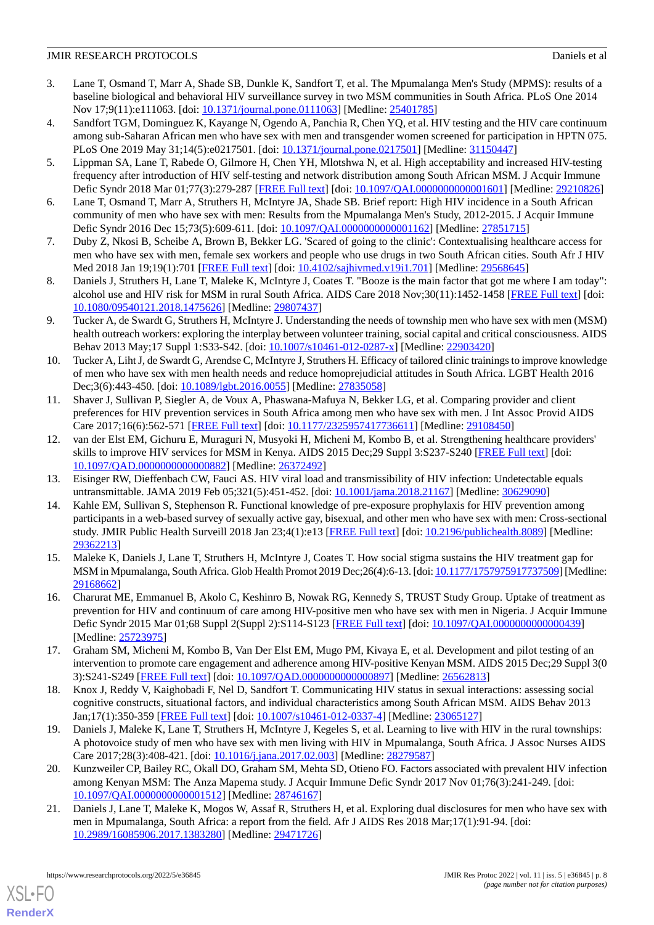- <span id="page-7-1"></span>3. Lane T, Osmand T, Marr A, Shade SB, Dunkle K, Sandfort T, et al. The Mpumalanga Men's Study (MPMS): results of a baseline biological and behavioral HIV surveillance survey in two MSM communities in South Africa. PLoS One 2014 Nov 17;9(11):e111063. [doi: [10.1371/journal.pone.0111063](http://dx.doi.org/10.1371/journal.pone.0111063)] [Medline: [25401785\]](http://www.ncbi.nlm.nih.gov/entrez/query.fcgi?cmd=Retrieve&db=PubMed&list_uids=25401785&dopt=Abstract)
- <span id="page-7-15"></span>4. Sandfort TGM, Dominguez K, Kayange N, Ogendo A, Panchia R, Chen YQ, et al. HIV testing and the HIV care continuum among sub-Saharan African men who have sex with men and transgender women screened for participation in HPTN 075. PLoS One 2019 May 31;14(5):e0217501. [doi: [10.1371/journal.pone.0217501\]](http://dx.doi.org/10.1371/journal.pone.0217501) [Medline: [31150447\]](http://www.ncbi.nlm.nih.gov/entrez/query.fcgi?cmd=Retrieve&db=PubMed&list_uids=31150447&dopt=Abstract)
- <span id="page-7-0"></span>5. Lippman SA, Lane T, Rabede O, Gilmore H, Chen YH, Mlotshwa N, et al. High acceptability and increased HIV-testing frequency after introduction of HIV self-testing and network distribution among South African MSM. J Acquir Immune Defic Syndr 2018 Mar 01;77(3):279-287 [[FREE Full text\]](http://europepmc.org/abstract/MED/29210826) [doi: [10.1097/QAI.0000000000001601\]](http://dx.doi.org/10.1097/QAI.0000000000001601) [Medline: [29210826](http://www.ncbi.nlm.nih.gov/entrez/query.fcgi?cmd=Retrieve&db=PubMed&list_uids=29210826&dopt=Abstract)]
- <span id="page-7-3"></span><span id="page-7-2"></span>6. Lane T, Osmand T, Marr A, Struthers H, McIntyre JA, Shade SB. Brief report: High HIV incidence in a South African community of men who have sex with men: Results from the Mpumalanga Men's Study, 2012-2015. J Acquir Immune Defic Syndr 2016 Dec 15;73(5):609-611. [doi: [10.1097/QAI.0000000000001162](http://dx.doi.org/10.1097/QAI.0000000000001162)] [Medline: [27851715\]](http://www.ncbi.nlm.nih.gov/entrez/query.fcgi?cmd=Retrieve&db=PubMed&list_uids=27851715&dopt=Abstract)
- <span id="page-7-4"></span>7. Duby Z, Nkosi B, Scheibe A, Brown B, Bekker LG. 'Scared of going to the clinic': Contextualising healthcare access for men who have sex with men, female sex workers and people who use drugs in two South African cities. South Afr J HIV Med 2018 Jan 19;19(1):701 [[FREE Full text](http://europepmc.org/abstract/MED/29568645)] [doi: [10.4102/sajhivmed.v19i1.701](http://dx.doi.org/10.4102/sajhivmed.v19i1.701)] [Medline: [29568645](http://www.ncbi.nlm.nih.gov/entrez/query.fcgi?cmd=Retrieve&db=PubMed&list_uids=29568645&dopt=Abstract)]
- <span id="page-7-5"></span>8. Daniels J, Struthers H, Lane T, Maleke K, McIntyre J, Coates T. "Booze is the main factor that got me where I am today": alcohol use and HIV risk for MSM in rural South Africa. AIDS Care 2018 Nov;30(11):1452-1458 [\[FREE Full text\]](http://europepmc.org/abstract/MED/29807437) [doi: [10.1080/09540121.2018.1475626\]](http://dx.doi.org/10.1080/09540121.2018.1475626) [Medline: [29807437\]](http://www.ncbi.nlm.nih.gov/entrez/query.fcgi?cmd=Retrieve&db=PubMed&list_uids=29807437&dopt=Abstract)
- 9. Tucker A, de Swardt G, Struthers H, McIntyre J. Understanding the needs of township men who have sex with men (MSM) health outreach workers: exploring the interplay between volunteer training, social capital and critical consciousness. AIDS Behav 2013 May;17 Suppl 1:S33-S42. [doi: [10.1007/s10461-012-0287-x](http://dx.doi.org/10.1007/s10461-012-0287-x)] [Medline: [22903420\]](http://www.ncbi.nlm.nih.gov/entrez/query.fcgi?cmd=Retrieve&db=PubMed&list_uids=22903420&dopt=Abstract)
- 10. Tucker A, Liht J, de Swardt G, Arendse C, McIntyre J, Struthers H. Efficacy of tailored clinic trainings to improve knowledge of men who have sex with men health needs and reduce homoprejudicial attitudes in South Africa. LGBT Health 2016 Dec;3(6):443-450. [doi: [10.1089/lgbt.2016.0055](http://dx.doi.org/10.1089/lgbt.2016.0055)] [Medline: [27835058](http://www.ncbi.nlm.nih.gov/entrez/query.fcgi?cmd=Retrieve&db=PubMed&list_uids=27835058&dopt=Abstract)]
- 11. Shaver J, Sullivan P, Siegler A, de Voux A, Phaswana-Mafuya N, Bekker LG, et al. Comparing provider and client preferences for HIV prevention services in South Africa among men who have sex with men. J Int Assoc Provid AIDS Care 2017;16(6):562-571 [\[FREE Full text\]](https://journals.sagepub.com/doi/10.1177/2325957417736611?url_ver=Z39.88-2003&rfr_id=ori:rid:crossref.org&rfr_dat=cr_pub%3dpubmed) [doi: [10.1177/2325957417736611](http://dx.doi.org/10.1177/2325957417736611)] [Medline: [29108450\]](http://www.ncbi.nlm.nih.gov/entrez/query.fcgi?cmd=Retrieve&db=PubMed&list_uids=29108450&dopt=Abstract)
- <span id="page-7-7"></span><span id="page-7-6"></span>12. van der Elst EM, Gichuru E, Muraguri N, Musyoki H, Micheni M, Kombo B, et al. Strengthening healthcare providers' skills to improve HIV services for MSM in Kenya. AIDS 2015 Dec;29 Suppl 3:S237-S240 [[FREE Full text\]](http://europepmc.org/abstract/MED/26372492) [doi: [10.1097/QAD.0000000000000882\]](http://dx.doi.org/10.1097/QAD.0000000000000882) [Medline: [26372492\]](http://www.ncbi.nlm.nih.gov/entrez/query.fcgi?cmd=Retrieve&db=PubMed&list_uids=26372492&dopt=Abstract)
- 13. Eisinger RW, Dieffenbach CW, Fauci AS. HIV viral load and transmissibility of HIV infection: Undetectable equals untransmittable. JAMA 2019 Feb 05;321(5):451-452. [doi: [10.1001/jama.2018.21167\]](http://dx.doi.org/10.1001/jama.2018.21167) [Medline: [30629090](http://www.ncbi.nlm.nih.gov/entrez/query.fcgi?cmd=Retrieve&db=PubMed&list_uids=30629090&dopt=Abstract)]
- <span id="page-7-8"></span>14. Kahle EM, Sullivan S, Stephenson R. Functional knowledge of pre-exposure prophylaxis for HIV prevention among participants in a web-based survey of sexually active gay, bisexual, and other men who have sex with men: Cross-sectional study. JMIR Public Health Surveill 2018 Jan 23;4(1):e13 [[FREE Full text](https://publichealth.jmir.org/2018/1/e13/)] [doi: [10.2196/publichealth.8089\]](http://dx.doi.org/10.2196/publichealth.8089) [Medline: [29362213](http://www.ncbi.nlm.nih.gov/entrez/query.fcgi?cmd=Retrieve&db=PubMed&list_uids=29362213&dopt=Abstract)]
- <span id="page-7-9"></span>15. Maleke K, Daniels J, Lane T, Struthers H, McIntyre J, Coates T. How social stigma sustains the HIV treatment gap for MSM in Mpumalanga, South Africa. Glob Health Promot 2019 Dec;26(4):6-13. [doi: [10.1177/1757975917737509](http://dx.doi.org/10.1177/1757975917737509)] [Medline: [29168662](http://www.ncbi.nlm.nih.gov/entrez/query.fcgi?cmd=Retrieve&db=PubMed&list_uids=29168662&dopt=Abstract)]
- <span id="page-7-11"></span><span id="page-7-10"></span>16. Charurat ME, Emmanuel B, Akolo C, Keshinro B, Nowak RG, Kennedy S, TRUST Study Group. Uptake of treatment as prevention for HIV and continuum of care among HIV-positive men who have sex with men in Nigeria. J Acquir Immune Defic Syndr 2015 Mar 01;68 Suppl 2(Suppl 2):S114-S123 [[FREE Full text](http://europepmc.org/abstract/MED/25723975)] [doi: [10.1097/QAI.0000000000000439\]](http://dx.doi.org/10.1097/QAI.0000000000000439) [Medline: [25723975](http://www.ncbi.nlm.nih.gov/entrez/query.fcgi?cmd=Retrieve&db=PubMed&list_uids=25723975&dopt=Abstract)]
- <span id="page-7-12"></span>17. Graham SM, Micheni M, Kombo B, Van Der Elst EM, Mugo PM, Kivaya E, et al. Development and pilot testing of an intervention to promote care engagement and adherence among HIV-positive Kenyan MSM. AIDS 2015 Dec;29 Suppl 3(0 3):S241-S249 [[FREE Full text](http://europepmc.org/abstract/MED/26562813)] [doi: [10.1097/QAD.0000000000000897\]](http://dx.doi.org/10.1097/QAD.0000000000000897) [Medline: [26562813\]](http://www.ncbi.nlm.nih.gov/entrez/query.fcgi?cmd=Retrieve&db=PubMed&list_uids=26562813&dopt=Abstract)
- <span id="page-7-13"></span>18. Knox J, Reddy V, Kaighobadi F, Nel D, Sandfort T. Communicating HIV status in sexual interactions: assessing social cognitive constructs, situational factors, and individual characteristics among South African MSM. AIDS Behav 2013 Jan;17(1):350-359 [\[FREE Full text\]](http://europepmc.org/abstract/MED/23065127) [doi: [10.1007/s10461-012-0337-4](http://dx.doi.org/10.1007/s10461-012-0337-4)] [Medline: [23065127\]](http://www.ncbi.nlm.nih.gov/entrez/query.fcgi?cmd=Retrieve&db=PubMed&list_uids=23065127&dopt=Abstract)
- <span id="page-7-14"></span>19. Daniels J, Maleke K, Lane T, Struthers H, McIntyre J, Kegeles S, et al. Learning to live with HIV in the rural townships: A photovoice study of men who have sex with men living with HIV in Mpumalanga, South Africa. J Assoc Nurses AIDS Care 2017;28(3):408-421. [doi: [10.1016/j.jana.2017.02.003\]](http://dx.doi.org/10.1016/j.jana.2017.02.003) [Medline: [28279587](http://www.ncbi.nlm.nih.gov/entrez/query.fcgi?cmd=Retrieve&db=PubMed&list_uids=28279587&dopt=Abstract)]
- 20. Kunzweiler CP, Bailey RC, Okall DO, Graham SM, Mehta SD, Otieno FO. Factors associated with prevalent HIV infection among Kenyan MSM: The Anza Mapema study. J Acquir Immune Defic Syndr 2017 Nov 01;76(3):241-249. [doi: [10.1097/QAI.0000000000001512](http://dx.doi.org/10.1097/QAI.0000000000001512)] [Medline: [28746167\]](http://www.ncbi.nlm.nih.gov/entrez/query.fcgi?cmd=Retrieve&db=PubMed&list_uids=28746167&dopt=Abstract)
- 21. Daniels J, Lane T, Maleke K, Mogos W, Assaf R, Struthers H, et al. Exploring dual disclosures for men who have sex with men in Mpumalanga, South Africa: a report from the field. Afr J AIDS Res 2018 Mar;17(1):91-94. [doi: [10.2989/16085906.2017.1383280\]](http://dx.doi.org/10.2989/16085906.2017.1383280) [Medline: [29471726\]](http://www.ncbi.nlm.nih.gov/entrez/query.fcgi?cmd=Retrieve&db=PubMed&list_uids=29471726&dopt=Abstract)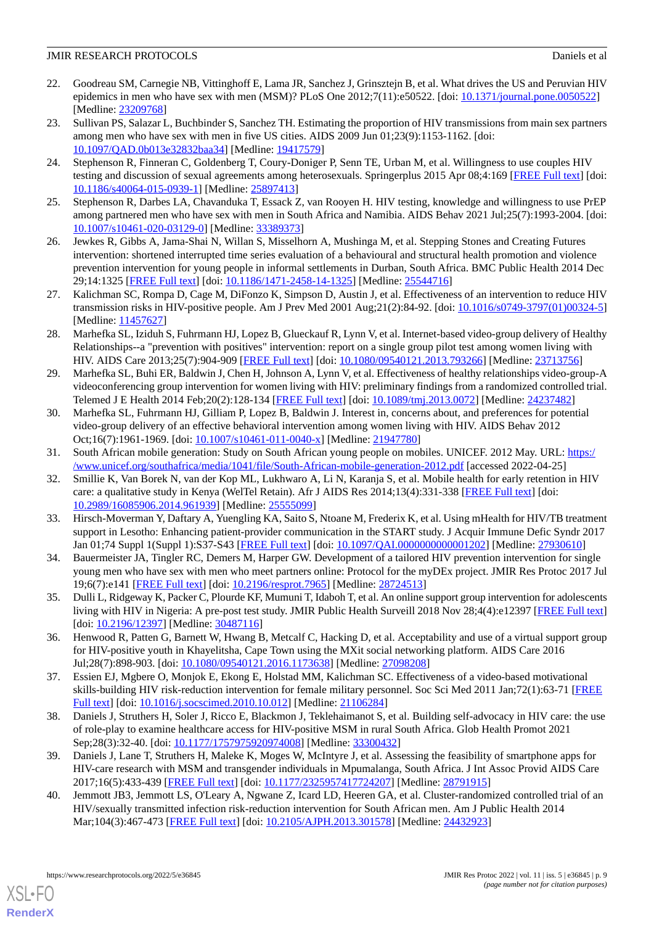- <span id="page-8-0"></span>22. Goodreau SM, Carnegie NB, Vittinghoff E, Lama JR, Sanchez J, Grinsztejn B, et al. What drives the US and Peruvian HIV epidemics in men who have sex with men (MSM)? PLoS One 2012;7(11):e50522. [doi: [10.1371/journal.pone.0050522\]](http://dx.doi.org/10.1371/journal.pone.0050522) [Medline: [23209768](http://www.ncbi.nlm.nih.gov/entrez/query.fcgi?cmd=Retrieve&db=PubMed&list_uids=23209768&dopt=Abstract)]
- 23. Sullivan PS, Salazar L, Buchbinder S, Sanchez TH. Estimating the proportion of HIV transmissions from main sex partners among men who have sex with men in five US cities. AIDS 2009 Jun 01;23(9):1153-1162. [doi: [10.1097/QAD.0b013e32832baa34](http://dx.doi.org/10.1097/QAD.0b013e32832baa34)] [Medline: [19417579](http://www.ncbi.nlm.nih.gov/entrez/query.fcgi?cmd=Retrieve&db=PubMed&list_uids=19417579&dopt=Abstract)]
- <span id="page-8-1"></span>24. Stephenson R, Finneran C, Goldenberg T, Coury-Doniger P, Senn TE, Urban M, et al. Willingness to use couples HIV testing and discussion of sexual agreements among heterosexuals. Springerplus 2015 Apr 08;4:169 [[FREE Full text](http://europepmc.org/abstract/MED/25897413)] [doi: [10.1186/s40064-015-0939-1\]](http://dx.doi.org/10.1186/s40064-015-0939-1) [Medline: [25897413](http://www.ncbi.nlm.nih.gov/entrez/query.fcgi?cmd=Retrieve&db=PubMed&list_uids=25897413&dopt=Abstract)]
- <span id="page-8-3"></span><span id="page-8-2"></span>25. Stephenson R, Darbes LA, Chavanduka T, Essack Z, van Rooyen H. HIV testing, knowledge and willingness to use PrEP among partnered men who have sex with men in South Africa and Namibia. AIDS Behav 2021 Jul;25(7):1993-2004. [doi: [10.1007/s10461-020-03129-0\]](http://dx.doi.org/10.1007/s10461-020-03129-0) [Medline: [33389373\]](http://www.ncbi.nlm.nih.gov/entrez/query.fcgi?cmd=Retrieve&db=PubMed&list_uids=33389373&dopt=Abstract)
- <span id="page-8-4"></span>26. Jewkes R, Gibbs A, Jama-Shai N, Willan S, Misselhorn A, Mushinga M, et al. Stepping Stones and Creating Futures intervention: shortened interrupted time series evaluation of a behavioural and structural health promotion and violence prevention intervention for young people in informal settlements in Durban, South Africa. BMC Public Health 2014 Dec 29;14:1325 [[FREE Full text](https://bmcpublichealth.biomedcentral.com/articles/10.1186/1471-2458-14-1325)] [doi: [10.1186/1471-2458-14-1325\]](http://dx.doi.org/10.1186/1471-2458-14-1325) [Medline: [25544716\]](http://www.ncbi.nlm.nih.gov/entrez/query.fcgi?cmd=Retrieve&db=PubMed&list_uids=25544716&dopt=Abstract)
- <span id="page-8-5"></span>27. Kalichman SC, Rompa D, Cage M, DiFonzo K, Simpson D, Austin J, et al. Effectiveness of an intervention to reduce HIV transmission risks in HIV-positive people. Am J Prev Med 2001 Aug;21(2):84-92. [doi: [10.1016/s0749-3797\(01\)00324-5](http://dx.doi.org/10.1016/s0749-3797(01)00324-5)] [Medline: [11457627](http://www.ncbi.nlm.nih.gov/entrez/query.fcgi?cmd=Retrieve&db=PubMed&list_uids=11457627&dopt=Abstract)]
- <span id="page-8-6"></span>28. Marhefka SL, Iziduh S, Fuhrmann HJ, Lopez B, Glueckauf R, Lynn V, et al. Internet-based video-group delivery of Healthy Relationships--a "prevention with positives" intervention: report on a single group pilot test among women living with HIV. AIDS Care 2013;25(7):904-909 [[FREE Full text](http://europepmc.org/abstract/MED/23713756)] [doi: [10.1080/09540121.2013.793266\]](http://dx.doi.org/10.1080/09540121.2013.793266) [Medline: [23713756](http://www.ncbi.nlm.nih.gov/entrez/query.fcgi?cmd=Retrieve&db=PubMed&list_uids=23713756&dopt=Abstract)]
- <span id="page-8-7"></span>29. Marhefka SL, Buhi ER, Baldwin J, Chen H, Johnson A, Lynn V, et al. Effectiveness of healthy relationships video-group-A videoconferencing group intervention for women living with HIV: preliminary findings from a randomized controlled trial. Telemed J E Health 2014 Feb;20(2):128-134 [\[FREE Full text\]](http://europepmc.org/abstract/MED/24237482) [doi: [10.1089/tmj.2013.0072\]](http://dx.doi.org/10.1089/tmj.2013.0072) [Medline: [24237482](http://www.ncbi.nlm.nih.gov/entrez/query.fcgi?cmd=Retrieve&db=PubMed&list_uids=24237482&dopt=Abstract)]
- <span id="page-8-9"></span><span id="page-8-8"></span>30. Marhefka SL, Fuhrmann HJ, Gilliam P, Lopez B, Baldwin J. Interest in, concerns about, and preferences for potential video-group delivery of an effective behavioral intervention among women living with HIV. AIDS Behav 2012 Oct;16(7):1961-1969. [doi: [10.1007/s10461-011-0040-x](http://dx.doi.org/10.1007/s10461-011-0040-x)] [Medline: [21947780\]](http://www.ncbi.nlm.nih.gov/entrez/query.fcgi?cmd=Retrieve&db=PubMed&list_uids=21947780&dopt=Abstract)
- 31. South African mobile generation: Study on South African young people on mobiles. UNICEF. 2012 May. URL: [https:/](https://www.unicef.org/southafrica/media/1041/file/South-African-mobile-generation-2012.pdf) [/www.unicef.org/southafrica/media/1041/file/South-African-mobile-generation-2012.pdf](https://www.unicef.org/southafrica/media/1041/file/South-African-mobile-generation-2012.pdf) [accessed 2022-04-25]
- <span id="page-8-17"></span>32. Smillie K, Van Borek N, van der Kop ML, Lukhwaro A, Li N, Karanja S, et al. Mobile health for early retention in HIV care: a qualitative study in Kenya (WelTel Retain). Afr J AIDS Res 2014;13(4):331-338 [[FREE Full text](http://europepmc.org/abstract/MED/25555099)] [doi: [10.2989/16085906.2014.961939\]](http://dx.doi.org/10.2989/16085906.2014.961939) [Medline: [25555099\]](http://www.ncbi.nlm.nih.gov/entrez/query.fcgi?cmd=Retrieve&db=PubMed&list_uids=25555099&dopt=Abstract)
- <span id="page-8-11"></span><span id="page-8-10"></span>33. Hirsch-Moverman Y, Daftary A, Yuengling KA, Saito S, Ntoane M, Frederix K, et al. Using mHealth for HIV/TB treatment support in Lesotho: Enhancing patient-provider communication in the START study. J Acquir Immune Defic Syndr 2017 Jan 01;74 Suppl 1(Suppl 1):S37-S43 [\[FREE Full text\]](http://europepmc.org/abstract/MED/27930610) [doi: [10.1097/QAI.0000000000001202](http://dx.doi.org/10.1097/QAI.0000000000001202)] [Medline: [27930610\]](http://www.ncbi.nlm.nih.gov/entrez/query.fcgi?cmd=Retrieve&db=PubMed&list_uids=27930610&dopt=Abstract)
- <span id="page-8-12"></span>34. Bauermeister JA, Tingler RC, Demers M, Harper GW. Development of a tailored HIV prevention intervention for single young men who have sex with men who meet partners online: Protocol for the myDEx project. JMIR Res Protoc 2017 Jul 19;6(7):e141 [\[FREE Full text](https://www.researchprotocols.org/2017/7/e141/)] [doi: [10.2196/resprot.7965](http://dx.doi.org/10.2196/resprot.7965)] [Medline: [28724513\]](http://www.ncbi.nlm.nih.gov/entrez/query.fcgi?cmd=Retrieve&db=PubMed&list_uids=28724513&dopt=Abstract)
- <span id="page-8-13"></span>35. Dulli L, Ridgeway K, Packer C, Plourde KF, Mumuni T, Idaboh T, et al. An online support group intervention for adolescents living with HIV in Nigeria: A pre-post test study. JMIR Public Health Surveill 2018 Nov 28;4(4):e12397 [\[FREE Full text](https://publichealth.jmir.org/2018/4/e12397/)] [doi: [10.2196/12397](http://dx.doi.org/10.2196/12397)] [Medline: [30487116\]](http://www.ncbi.nlm.nih.gov/entrez/query.fcgi?cmd=Retrieve&db=PubMed&list_uids=30487116&dopt=Abstract)
- <span id="page-8-14"></span>36. Henwood R, Patten G, Barnett W, Hwang B, Metcalf C, Hacking D, et al. Acceptability and use of a virtual support group for HIV-positive youth in Khayelitsha, Cape Town using the MXit social networking platform. AIDS Care 2016 Jul;28(7):898-903. [doi: [10.1080/09540121.2016.1173638](http://dx.doi.org/10.1080/09540121.2016.1173638)] [Medline: [27098208](http://www.ncbi.nlm.nih.gov/entrez/query.fcgi?cmd=Retrieve&db=PubMed&list_uids=27098208&dopt=Abstract)]
- <span id="page-8-15"></span>37. Essien EJ, Mgbere O, Monjok E, Ekong E, Holstad MM, Kalichman SC. Effectiveness of a video-based motivational skills-building HIV risk-reduction intervention for female military personnel. Soc Sci Med 2011 Jan;72(1):63-71 [[FREE](http://europepmc.org/abstract/MED/21106284) [Full text\]](http://europepmc.org/abstract/MED/21106284) [doi: [10.1016/j.socscimed.2010.10.012\]](http://dx.doi.org/10.1016/j.socscimed.2010.10.012) [Medline: [21106284\]](http://www.ncbi.nlm.nih.gov/entrez/query.fcgi?cmd=Retrieve&db=PubMed&list_uids=21106284&dopt=Abstract)
- <span id="page-8-16"></span>38. Daniels J, Struthers H, Soler J, Ricco E, Blackmon J, Teklehaimanot S, et al. Building self-advocacy in HIV care: the use of role-play to examine healthcare access for HIV-positive MSM in rural South Africa. Glob Health Promot 2021 Sep;28(3):32-40. [doi: [10.1177/1757975920974008\]](http://dx.doi.org/10.1177/1757975920974008) [Medline: [33300432\]](http://www.ncbi.nlm.nih.gov/entrez/query.fcgi?cmd=Retrieve&db=PubMed&list_uids=33300432&dopt=Abstract)
- 39. Daniels J, Lane T, Struthers H, Maleke K, Moges W, McIntyre J, et al. Assessing the feasibility of smartphone apps for HIV-care research with MSM and transgender individuals in Mpumalanga, South Africa. J Int Assoc Provid AIDS Care 2017;16(5):433-439 [[FREE Full text](https://journals.sagepub.com/doi/10.1177/2325957417724207?url_ver=Z39.88-2003&rfr_id=ori:rid:crossref.org&rfr_dat=cr_pub%3dpubmed)] [doi: [10.1177/2325957417724207\]](http://dx.doi.org/10.1177/2325957417724207) [Medline: [28791915\]](http://www.ncbi.nlm.nih.gov/entrez/query.fcgi?cmd=Retrieve&db=PubMed&list_uids=28791915&dopt=Abstract)
- 40. Jemmott JB3, Jemmott LS, O'Leary A, Ngwane Z, Icard LD, Heeren GA, et al. Cluster-randomized controlled trial of an HIV/sexually transmitted infection risk-reduction intervention for South African men. Am J Public Health 2014 Mar;104(3):467-473 [[FREE Full text\]](http://europepmc.org/abstract/MED/24432923) [doi: [10.2105/AJPH.2013.301578](http://dx.doi.org/10.2105/AJPH.2013.301578)] [Medline: [24432923](http://www.ncbi.nlm.nih.gov/entrez/query.fcgi?cmd=Retrieve&db=PubMed&list_uids=24432923&dopt=Abstract)]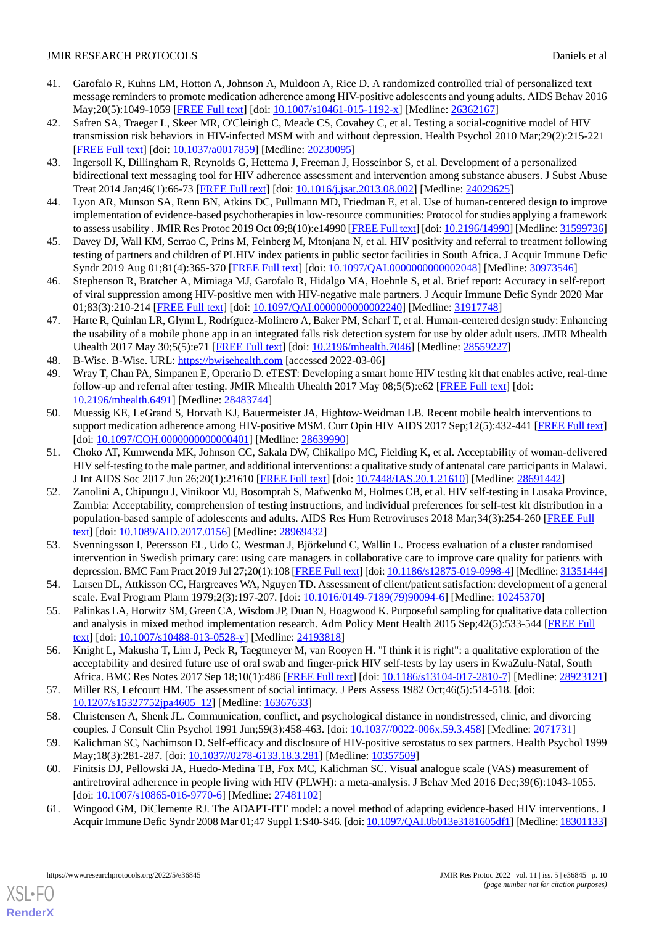- <span id="page-9-0"></span>41. Garofalo R, Kuhns LM, Hotton A, Johnson A, Muldoon A, Rice D. A randomized controlled trial of personalized text message reminders to promote medication adherence among HIV-positive adolescents and young adults. AIDS Behav 2016 May;20(5):1049-1059 [\[FREE Full text\]](http://europepmc.org/abstract/MED/26362167) [doi: [10.1007/s10461-015-1192-x](http://dx.doi.org/10.1007/s10461-015-1192-x)] [Medline: [26362167\]](http://www.ncbi.nlm.nih.gov/entrez/query.fcgi?cmd=Retrieve&db=PubMed&list_uids=26362167&dopt=Abstract)
- <span id="page-9-1"></span>42. Safren SA, Traeger L, Skeer MR, O'Cleirigh C, Meade CS, Covahey C, et al. Testing a social-cognitive model of HIV transmission risk behaviors in HIV-infected MSM with and without depression. Health Psychol 2010 Mar;29(2):215-221 [[FREE Full text](http://europepmc.org/abstract/MED/20230095)] [doi: [10.1037/a0017859](http://dx.doi.org/10.1037/a0017859)] [Medline: [20230095\]](http://www.ncbi.nlm.nih.gov/entrez/query.fcgi?cmd=Retrieve&db=PubMed&list_uids=20230095&dopt=Abstract)
- <span id="page-9-2"></span>43. Ingersoll K, Dillingham R, Reynolds G, Hettema J, Freeman J, Hosseinbor S, et al. Development of a personalized bidirectional text messaging tool for HIV adherence assessment and intervention among substance abusers. J Subst Abuse Treat 2014 Jan;46(1):66-73 [[FREE Full text](http://europepmc.org/abstract/MED/24029625)] [doi: [10.1016/j.jsat.2013.08.002\]](http://dx.doi.org/10.1016/j.jsat.2013.08.002) [Medline: [24029625](http://www.ncbi.nlm.nih.gov/entrez/query.fcgi?cmd=Retrieve&db=PubMed&list_uids=24029625&dopt=Abstract)]
- <span id="page-9-4"></span><span id="page-9-3"></span>44. Lyon AR, Munson SA, Renn BN, Atkins DC, Pullmann MD, Friedman E, et al. Use of human-centered design to improve implementation of evidence-based psychotherapies in low-resource communities: Protocol for studies applying a framework to assess usability . JMIR Res Protoc 2019 Oct 09;8(10):e14990 [\[FREE Full text\]](https://www.researchprotocols.org/2019/10/e14990/) [doi: [10.2196/14990\]](http://dx.doi.org/10.2196/14990) [Medline: [31599736\]](http://www.ncbi.nlm.nih.gov/entrez/query.fcgi?cmd=Retrieve&db=PubMed&list_uids=31599736&dopt=Abstract)
- <span id="page-9-5"></span>45. Davey DJ, Wall KM, Serrao C, Prins M, Feinberg M, Mtonjana N, et al. HIV positivity and referral to treatment following testing of partners and children of PLHIV index patients in public sector facilities in South Africa. J Acquir Immune Defic Syndr 2019 Aug 01;81(4):365-370 [[FREE Full text\]](http://europepmc.org/abstract/MED/30973546) [doi: [10.1097/QAI.0000000000002048\]](http://dx.doi.org/10.1097/QAI.0000000000002048) [Medline: [30973546](http://www.ncbi.nlm.nih.gov/entrez/query.fcgi?cmd=Retrieve&db=PubMed&list_uids=30973546&dopt=Abstract)]
- <span id="page-9-6"></span>46. Stephenson R, Bratcher A, Mimiaga MJ, Garofalo R, Hidalgo MA, Hoehnle S, et al. Brief report: Accuracy in self-report of viral suppression among HIV-positive men with HIV-negative male partners. J Acquir Immune Defic Syndr 2020 Mar 01;83(3):210-214 [[FREE Full text](http://europepmc.org/abstract/MED/31917748)] [doi: [10.1097/QAI.0000000000002240](http://dx.doi.org/10.1097/QAI.0000000000002240)] [Medline: [31917748\]](http://www.ncbi.nlm.nih.gov/entrez/query.fcgi?cmd=Retrieve&db=PubMed&list_uids=31917748&dopt=Abstract)
- <span id="page-9-8"></span><span id="page-9-7"></span>47. Harte R, Quinlan LR, Glynn L, Rodríguez-Molinero A, Baker PM, Scharf T, et al. Human-centered design study: Enhancing the usability of a mobile phone app in an integrated falls risk detection system for use by older adult users. JMIR Mhealth Uhealth 2017 May 30;5(5):e71 [\[FREE Full text\]](https://mhealth.jmir.org/2017/5/e71/) [doi: [10.2196/mhealth.7046](http://dx.doi.org/10.2196/mhealth.7046)] [Medline: [28559227\]](http://www.ncbi.nlm.nih.gov/entrez/query.fcgi?cmd=Retrieve&db=PubMed&list_uids=28559227&dopt=Abstract)
- 48. B-Wise. B-Wise. URL:<https://bwisehealth.com> [accessed 2022-03-06]
- <span id="page-9-9"></span>49. Wray T, Chan PA, Simpanen E, Operario D. eTEST: Developing a smart home HIV testing kit that enables active, real-time follow-up and referral after testing. JMIR Mhealth Uhealth 2017 May 08;5(5):e62 [[FREE Full text](https://mhealth.jmir.org/2017/5/e62/)] [doi: [10.2196/mhealth.6491](http://dx.doi.org/10.2196/mhealth.6491)] [Medline: [28483744](http://www.ncbi.nlm.nih.gov/entrez/query.fcgi?cmd=Retrieve&db=PubMed&list_uids=28483744&dopt=Abstract)]
- <span id="page-9-10"></span>50. Muessig KE, LeGrand S, Horvath KJ, Bauermeister JA, Hightow-Weidman LB. Recent mobile health interventions to support medication adherence among HIV-positive MSM. Curr Opin HIV AIDS 2017 Sep;12(5):432-441 [[FREE Full text](http://europepmc.org/abstract/MED/28639990)] [doi: [10.1097/COH.0000000000000401\]](http://dx.doi.org/10.1097/COH.0000000000000401) [Medline: [28639990\]](http://www.ncbi.nlm.nih.gov/entrez/query.fcgi?cmd=Retrieve&db=PubMed&list_uids=28639990&dopt=Abstract)
- <span id="page-9-11"></span>51. Choko AT, Kumwenda MK, Johnson CC, Sakala DW, Chikalipo MC, Fielding K, et al. Acceptability of woman-delivered HIV self-testing to the male partner, and additional interventions: a qualitative study of antenatal care participants in Malawi. J Int AIDS Soc 2017 Jun 26;20(1):21610 [[FREE Full text](http://europepmc.org/abstract/MED/28691442)] [doi: [10.7448/IAS.20.1.21610](http://dx.doi.org/10.7448/IAS.20.1.21610)] [Medline: [28691442](http://www.ncbi.nlm.nih.gov/entrez/query.fcgi?cmd=Retrieve&db=PubMed&list_uids=28691442&dopt=Abstract)]
- <span id="page-9-12"></span>52. Zanolini A, Chipungu J, Vinikoor MJ, Bosomprah S, Mafwenko M, Holmes CB, et al. HIV self-testing in Lusaka Province, Zambia: Acceptability, comprehension of testing instructions, and individual preferences for self-test kit distribution in a population-based sample of adolescents and adults. AIDS Res Hum Retroviruses 2018 Mar;34(3):254-260 [\[FREE Full](http://europepmc.org/abstract/MED/28969432) [text](http://europepmc.org/abstract/MED/28969432)] [doi: [10.1089/AID.2017.0156\]](http://dx.doi.org/10.1089/AID.2017.0156) [Medline: [28969432](http://www.ncbi.nlm.nih.gov/entrez/query.fcgi?cmd=Retrieve&db=PubMed&list_uids=28969432&dopt=Abstract)]
- <span id="page-9-14"></span><span id="page-9-13"></span>53. Svenningsson I, Petersson EL, Udo C, Westman J, Björkelund C, Wallin L. Process evaluation of a cluster randomised intervention in Swedish primary care: using care managers in collaborative care to improve care quality for patients with depression. BMC Fam Pract 2019 Jul 27;20(1):108 [\[FREE Full text](https://bmcfampract.biomedcentral.com/articles/10.1186/s12875-019-0998-4)] [doi: [10.1186/s12875-019-0998-4](http://dx.doi.org/10.1186/s12875-019-0998-4)] [Medline: [31351444\]](http://www.ncbi.nlm.nih.gov/entrez/query.fcgi?cmd=Retrieve&db=PubMed&list_uids=31351444&dopt=Abstract)
- <span id="page-9-15"></span>54. Larsen DL, Attkisson CC, Hargreaves WA, Nguyen TD. Assessment of client/patient satisfaction: development of a general scale. Eval Program Plann 1979;2(3):197-207. [doi: [10.1016/0149-7189\(79\)90094-6\]](http://dx.doi.org/10.1016/0149-7189(79)90094-6) [Medline: [10245370\]](http://www.ncbi.nlm.nih.gov/entrez/query.fcgi?cmd=Retrieve&db=PubMed&list_uids=10245370&dopt=Abstract)
- <span id="page-9-16"></span>55. Palinkas LA, Horwitz SM, Green CA, Wisdom JP, Duan N, Hoagwood K. Purposeful sampling for qualitative data collection and analysis in mixed method implementation research. Adm Policy Ment Health 2015 Sep;42(5):533-544 [[FREE Full](http://europepmc.org/abstract/MED/24193818) [text](http://europepmc.org/abstract/MED/24193818)] [doi: [10.1007/s10488-013-0528-y\]](http://dx.doi.org/10.1007/s10488-013-0528-y) [Medline: [24193818](http://www.ncbi.nlm.nih.gov/entrez/query.fcgi?cmd=Retrieve&db=PubMed&list_uids=24193818&dopt=Abstract)]
- <span id="page-9-18"></span><span id="page-9-17"></span>56. Knight L, Makusha T, Lim J, Peck R, Taegtmeyer M, van Rooyen H. "I think it is right": a qualitative exploration of the acceptability and desired future use of oral swab and finger-prick HIV self-tests by lay users in KwaZulu-Natal, South Africa. BMC Res Notes 2017 Sep 18;10(1):486 [\[FREE Full text](https://bmcresnotes.biomedcentral.com/articles/10.1186/s13104-017-2810-7)] [doi: [10.1186/s13104-017-2810-7](http://dx.doi.org/10.1186/s13104-017-2810-7)] [Medline: [28923121](http://www.ncbi.nlm.nih.gov/entrez/query.fcgi?cmd=Retrieve&db=PubMed&list_uids=28923121&dopt=Abstract)]
- <span id="page-9-19"></span>57. Miller RS, Lefcourt HM. The assessment of social intimacy. J Pers Assess 1982 Oct;46(5):514-518. [doi: [10.1207/s15327752jpa4605\\_12\]](http://dx.doi.org/10.1207/s15327752jpa4605_12) [Medline: [16367633\]](http://www.ncbi.nlm.nih.gov/entrez/query.fcgi?cmd=Retrieve&db=PubMed&list_uids=16367633&dopt=Abstract)
- <span id="page-9-20"></span>58. Christensen A, Shenk JL. Communication, conflict, and psychological distance in nondistressed, clinic, and divorcing couples. J Consult Clin Psychol 1991 Jun;59(3):458-463. [doi: [10.1037//0022-006x.59.3.458](http://dx.doi.org/10.1037//0022-006x.59.3.458)] [Medline: [2071731\]](http://www.ncbi.nlm.nih.gov/entrez/query.fcgi?cmd=Retrieve&db=PubMed&list_uids=2071731&dopt=Abstract)
- 59. Kalichman SC, Nachimson D. Self-efficacy and disclosure of HIV-positive serostatus to sex partners. Health Psychol 1999 May;18(3):281-287. [doi: [10.1037//0278-6133.18.3.281\]](http://dx.doi.org/10.1037//0278-6133.18.3.281) [Medline: [10357509](http://www.ncbi.nlm.nih.gov/entrez/query.fcgi?cmd=Retrieve&db=PubMed&list_uids=10357509&dopt=Abstract)]
- 60. Finitsis DJ, Pellowski JA, Huedo-Medina TB, Fox MC, Kalichman SC. Visual analogue scale (VAS) measurement of antiretroviral adherence in people living with HIV (PLWH): a meta-analysis. J Behav Med 2016 Dec;39(6):1043-1055. [doi: [10.1007/s10865-016-9770-6](http://dx.doi.org/10.1007/s10865-016-9770-6)] [Medline: [27481102\]](http://www.ncbi.nlm.nih.gov/entrez/query.fcgi?cmd=Retrieve&db=PubMed&list_uids=27481102&dopt=Abstract)
- 61. Wingood GM, DiClemente RJ. The ADAPT-ITT model: a novel method of adapting evidence-based HIV interventions. J Acquir Immune Defic Syndr 2008 Mar 01;47 Suppl 1:S40-S46. [doi: [10.1097/QAI.0b013e3181605df1](http://dx.doi.org/10.1097/QAI.0b013e3181605df1)] [Medline: [18301133](http://www.ncbi.nlm.nih.gov/entrez/query.fcgi?cmd=Retrieve&db=PubMed&list_uids=18301133&dopt=Abstract)]